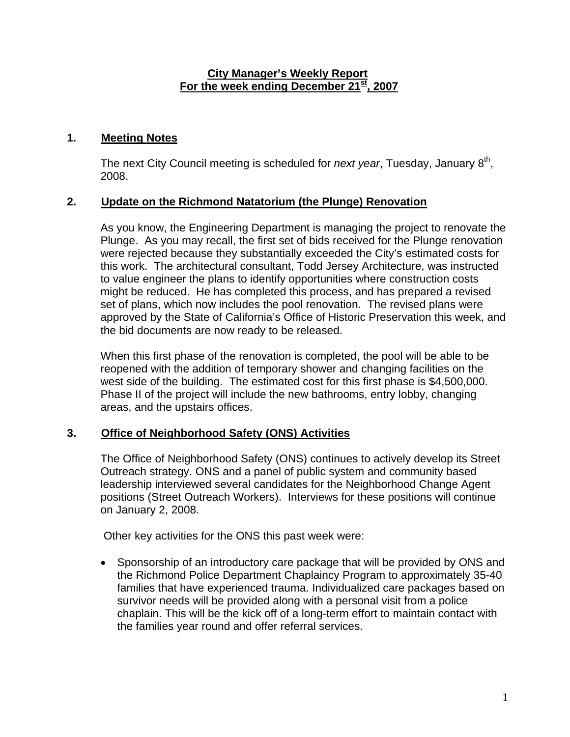### **City Manager's Weekly Report** For the week ending December 21<sup>st</sup>, 2007

# **1. Meeting Notes**

The next City Council meeting is scheduled for *next year*, Tuesday, January 8<sup>th</sup>, 2008.

### **2. Update on the Richmond Natatorium (the Plunge) Renovation**

As you know, the Engineering Department is managing the project to renovate the Plunge. As you may recall, the first set of bids received for the Plunge renovation were rejected because they substantially exceeded the City's estimated costs for this work. The architectural consultant, Todd Jersey Architecture, was instructed to value engineer the plans to identify opportunities where construction costs might be reduced. He has completed this process, and has prepared a revised set of plans, which now includes the pool renovation. The revised plans were approved by the State of California's Office of Historic Preservation this week, and the bid documents are now ready to be released.

When this first phase of the renovation is completed, the pool will be able to be reopened with the addition of temporary shower and changing facilities on the west side of the building. The estimated cost for this first phase is \$4,500,000. Phase II of the project will include the new bathrooms, entry lobby, changing areas, and the upstairs offices.

# **3. Office of Neighborhood Safety (ONS) Activities**

The Office of Neighborhood Safety (ONS) continues to actively develop its Street Outreach strategy. ONS and a panel of public system and community based leadership interviewed several candidates for the Neighborhood Change Agent positions (Street Outreach Workers). Interviews for these positions will continue on January 2, 2008.

Other key activities for the ONS this past week were:

• Sponsorship of an introductory care package that will be provided by ONS and the Richmond Police Department Chaplaincy Program to approximately 35-40 families that have experienced trauma. Individualized care packages based on survivor needs will be provided along with a personal visit from a police chaplain. This will be the kick off of a long-term effort to maintain contact with the families year round and offer referral services.